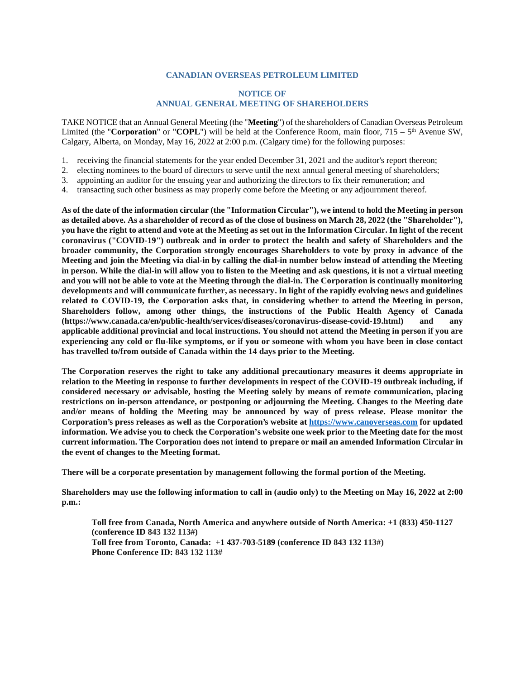## **CANADIAN OVERSEAS PETROLEUM LIMITED**

## **NOTICE OF ANNUAL GENERAL MEETING OF SHAREHOLDERS**

TAKE NOTICE that an Annual General Meeting (the "**Meeting**") of the shareholders of Canadian Overseas Petroleum Limited (the "**Corporation**" or "**COPL**") will be held at the Conference Room, main floor,  $715 - 5$ <sup>th</sup> Avenue SW, Calgary, Alberta, on Monday, May 16, 2022 at 2:00 p.m. (Calgary time) for the following purposes:

- 1. receiving the financial statements for the year ended December 31, 2021 and the auditor's report thereon;
- 2. electing nominees to the board of directors to serve until the next annual general meeting of shareholders;
- 3. appointing an auditor for the ensuing year and authorizing the directors to fix their remuneration; and
- 4. transacting such other business as may properly come before the Meeting or any adjournment thereof.

**As of the date of the information circular (the "Information Circular"), we intend to hold the Meeting in person as detailed above. As a shareholder of record as of the close of business on March 28, 2022 (the "Shareholder"), you have the right to attend and vote at the Meeting as set out in the Information Circular. In light of the recent coronavirus ("COVID-19") outbreak and in order to protect the health and safety of Shareholders and the broader community, the Corporation strongly encourages Shareholders to vote by proxy in advance of the Meeting and join the Meeting via dial-in by calling the dial-in number below instead of attending the Meeting in person. While the dial-in will allow you to listen to the Meeting and ask questions, it is not a virtual meeting and you will not be able to vote at the Meeting through the dial-in. The Corporation is continually monitoring developments and will communicate further, as necessary. In light of the rapidly evolving news and guidelines related to COVID-19, the Corporation asks that, in considering whether to attend the Meeting in person, Shareholders follow, among other things, the instructions of the Public Health Agency of Canada (https://www.canada.ca/en/public-health/services/diseases/coronavirus-disease-covid-19.html) and any applicable additional provincial and local instructions. You should not attend the Meeting in person if you are experiencing any cold or flu-like symptoms, or if you or someone with whom you have been in close contact has travelled to/from outside of Canada within the 14 days prior to the Meeting.** 

**The Corporation reserves the right to take any additional precautionary measures it deems appropriate in relation to the Meeting in response to further developments in respect of the COVID-19 outbreak including, if considered necessary or advisable, hosting the Meeting solely by means of remote communication, placing restrictions on in-person attendance, or postponing or adjourning the Meeting. Changes to the Meeting date and/or means of holding the Meeting may be announced by [way of press release. Please m](https://www.canoverseas.com/)onitor the Corporation's press releases as well as the Corporation's website at https://www.canoverseas.com for updated information. We advise you to check the Corporation's website one week prior to the Meeting date for the most current information. The Corporation does not intend to prepare or mail an amended Information Circular in the event of changes to the Meeting format.** 

**There will be a corporate presentation by management following the formal portion of the Meeting.** 

**Shareholders may use the following information to call in (audio only) to the Meeting on May 16, 2022 at 2:00 p.m.:** 

**Toll free from Canada, North America and anywhere outside of North America: +1 (833) 450-1127 (conference ID 843 132 113#) Toll free from Toronto, Canada: +1 437-703-5189 (conference ID 843 132 113#) Phone Conference ID: 843 132 113#**